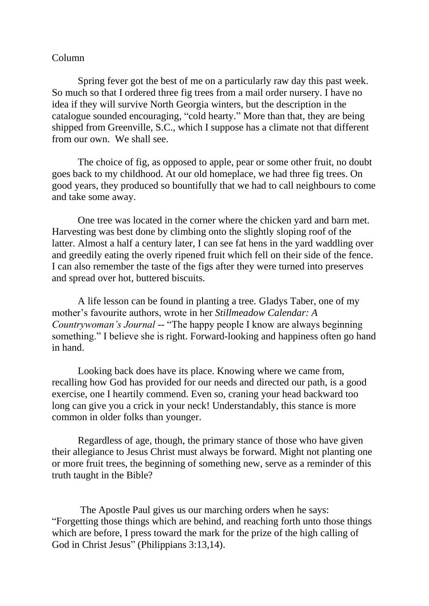## Column

Spring fever got the best of me on a particularly raw day this past week. So much so that I ordered three fig trees from a mail order nursery. I have no idea if they will survive North Georgia winters, but the description in the catalogue sounded encouraging, "cold hearty." More than that, they are being shipped from Greenville, S.C., which I suppose has a climate not that different from our own. We shall see.

The choice of fig, as opposed to apple, pear or some other fruit, no doubt goes back to my childhood. At our old homeplace, we had three fig trees. On good years, they produced so bountifully that we had to call neighbours to come and take some away.

One tree was located in the corner where the chicken yard and barn met. Harvesting was best done by climbing onto the slightly sloping roof of the latter. Almost a half a century later, I can see fat hens in the yard waddling over and greedily eating the overly ripened fruit which fell on their side of the fence. I can also remember the taste of the figs after they were turned into preserves and spread over hot, buttered biscuits.

A life lesson can be found in planting a tree. Gladys Taber, one of my mother's favourite authors, wrote in her *Stillmeadow Calendar: A Countrywoman's Journal* -- "The happy people I know are always beginning something." I believe she is right. Forward-looking and happiness often go hand in hand.

Looking back does have its place. Knowing where we came from, recalling how God has provided for our needs and directed our path, is a good exercise, one I heartily commend. Even so, craning your head backward too long can give you a crick in your neck! Understandably, this stance is more common in older folks than younger.

Regardless of age, though, the primary stance of those who have given their allegiance to Jesus Christ must always be forward. Might not planting one or more fruit trees, the beginning of something new, serve as a reminder of this truth taught in the Bible?

The Apostle Paul gives us our marching orders when he says: "Forgetting those things which are behind, and reaching forth unto those things which are before, I press toward the mark for the prize of the high calling of God in Christ Jesus" (Philippians 3:13,14).